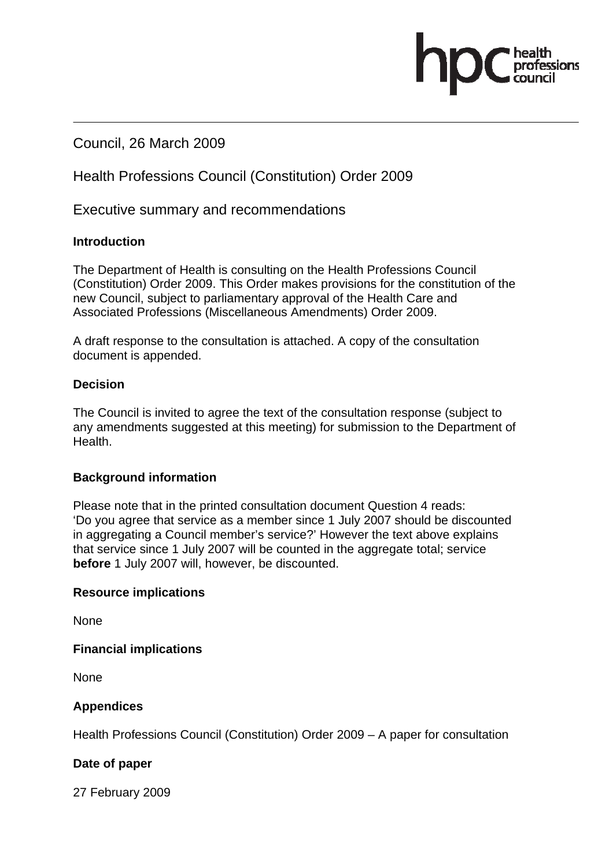## Council, 26 March 2009

## Health Professions Council (Constitution) Order 2009

Executive summary and recommendations

## **Introduction**

The Department of Health is consulting on the Health Professions Council (Constitution) Order 2009. This Order makes provisions for the constitution of the new Council, subject to parliamentary approval of the Health Care and Associated Professions (Miscellaneous Amendments) Order 2009.

essions

A draft response to the consultation is attached. A copy of the consultation document is appended.

## **Decision**

The Council is invited to agree the text of the consultation response (subject to any amendments suggested at this meeting) for submission to the Department of Health.

## **Background information**

Please note that in the printed consultation document Question 4 reads: 'Do you agree that service as a member since 1 July 2007 should be discounted in aggregating a Council member's service?' However the text above explains that service since 1 July 2007 will be counted in the aggregate total; service **before** 1 July 2007 will, however, be discounted.

### **Resource implications**

None

**Financial implications** 

**None** 

## **Appendices**

Health Professions Council (Constitution) Order 2009 – A paper for consultation

## **Date of paper**

27 February 2009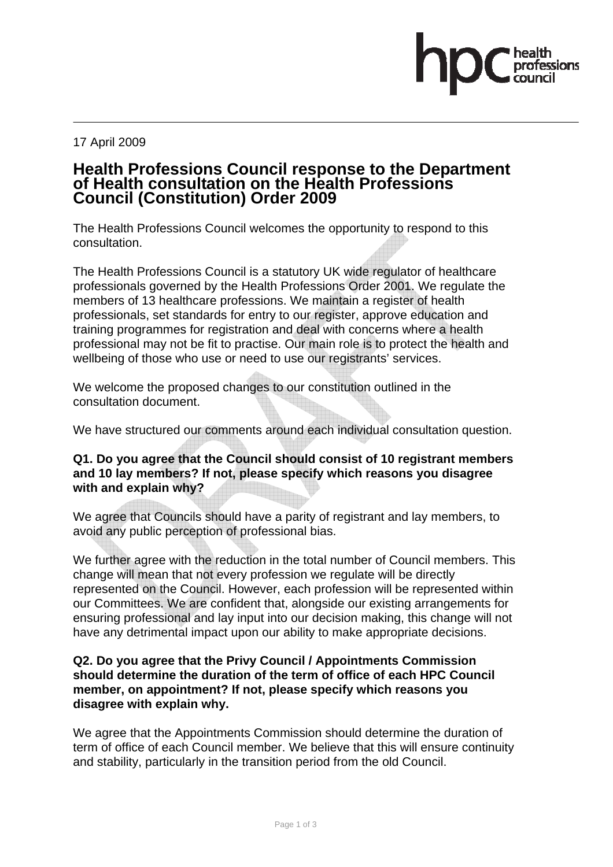#### 17 April 2009

## **Health Professions Council response to the Department of Health consultation on the Health Professions Council (Constitution) Order 2009**

The Health Professions Council welcomes the opportunity to respond to this consultation.

The Health Professions Council is a statutory UK wide regulator of healthcare professionals governed by the Health Professions Order 2001. We regulate the members of 13 healthcare professions. We maintain a register of health professionals, set standards for entry to our register, approve education and training programmes for registration and deal with concerns where a health professional may not be fit to practise. Our main role is to protect the health and wellbeing of those who use or need to use our registrants' services.

We welcome the proposed changes to our constitution outlined in the consultation document.

We have structured our comments around each individual consultation question.

## **Q1. Do you agree that the Council should consist of 10 registrant members and 10 lay members? If not, please specify which reasons you disagree with and explain why?**

We agree that Councils should have a parity of registrant and lay members, to avoid any public perception of professional bias.

We further agree with the reduction in the total number of Council members. This change will mean that not every profession we regulate will be directly represented on the Council. However, each profession will be represented within our Committees. We are confident that, alongside our existing arrangements for ensuring professional and lay input into our decision making, this change will not have any detrimental impact upon our ability to make appropriate decisions.

### **Q2. Do you agree that the Privy Council / Appointments Commission should determine the duration of the term of office of each HPC Council member, on appointment? If not, please specify which reasons you disagree with explain why.**

We agree that the Appointments Commission should determine the duration of term of office of each Council member. We believe that this will ensure continuity and stability, particularly in the transition period from the old Council.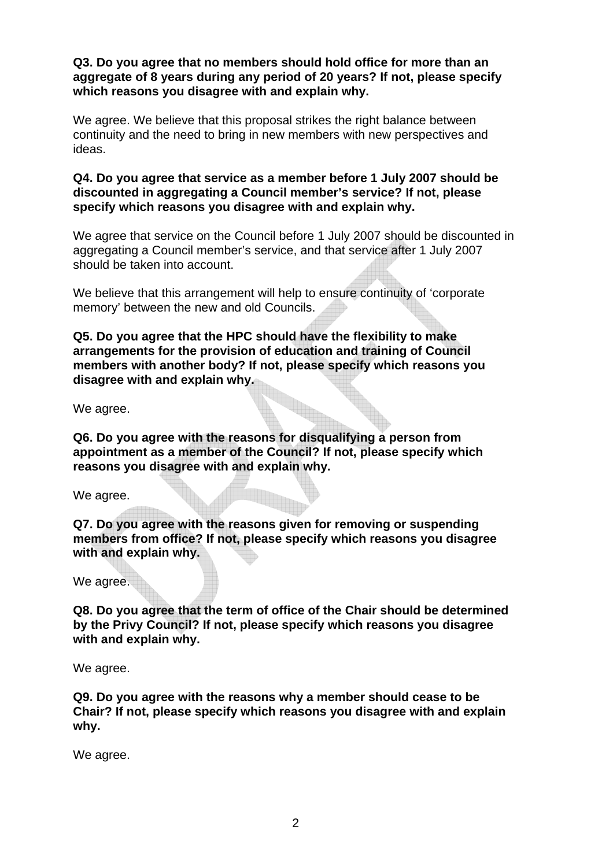**Q3. Do you agree that no members should hold office for more than an aggregate of 8 years during any period of 20 years? If not, please specify which reasons you disagree with and explain why.** 

We agree. We believe that this proposal strikes the right balance between continuity and the need to bring in new members with new perspectives and ideas.

### **Q4. Do you agree that service as a member before 1 July 2007 should be discounted in aggregating a Council member's service? If not, please specify which reasons you disagree with and explain why.**

We agree that service on the Council before 1 July 2007 should be discounted in aggregating a Council member's service, and that service after 1 July 2007 should be taken into account.

We believe that this arrangement will help to ensure continuity of 'corporate memory' between the new and old Councils.

**Q5. Do you agree that the HPC should have the flexibility to make arrangements for the provision of education and training of Council members with another body? If not, please specify which reasons you disagree with and explain why.** 

We agree.

**Q6. Do you agree with the reasons for disqualifying a person from appointment as a member of the Council? If not, please specify which reasons you disagree with and explain why.** 

We agree.

**Q7. Do you agree with the reasons given for removing or suspending members from office? If not, please specify which reasons you disagree with and explain why.** 

We agree.

**Q8. Do you agree that the term of office of the Chair should be determined by the Privy Council? If not, please specify which reasons you disagree with and explain why.** 

We agree.

**Q9. Do you agree with the reasons why a member should cease to be Chair? If not, please specify which reasons you disagree with and explain why.** 

We agree.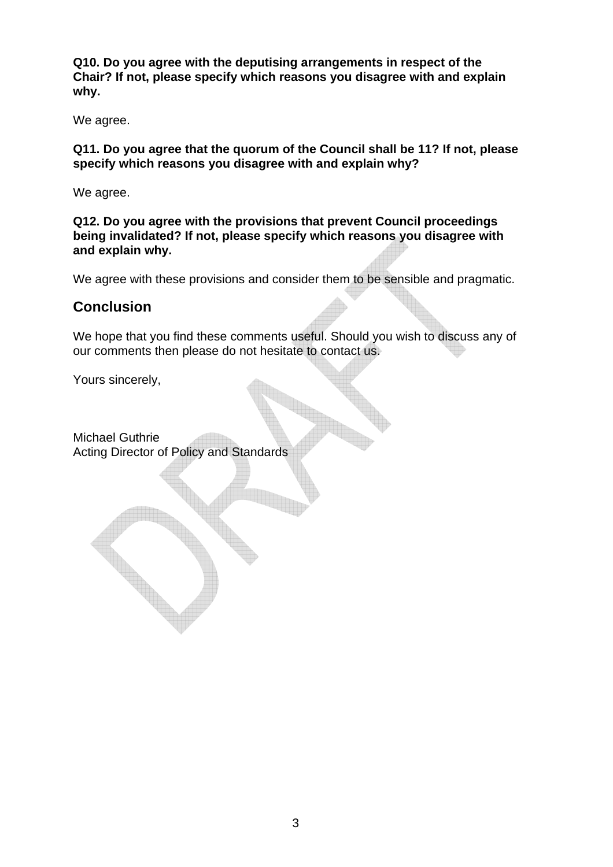**Q10. Do you agree with the deputising arrangements in respect of the Chair? If not, please specify which reasons you disagree with and explain why.** 

We agree.

**Q11. Do you agree that the quorum of the Council shall be 11? If not, please specify which reasons you disagree with and explain why?** 

We agree.

**Q12. Do you agree with the provisions that prevent Council proceedings being invalidated? If not, please specify which reasons you disagree with and explain why.** 

We agree with these provisions and consider them to be sensible and pragmatic.

## **Conclusion**

We hope that you find these comments useful. Should you wish to discuss any of our comments then please do not hesitate to contact us.

Yours sincerely,

Michael Guthrie Acting Director of Policy and Standards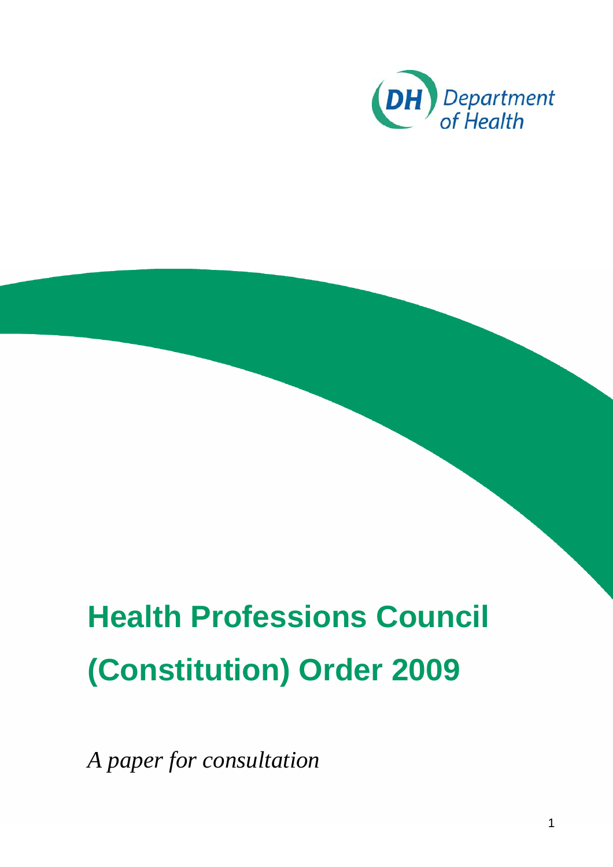

# **Health Professions Council (Constitution) Order 2009**

*A paper for consultation*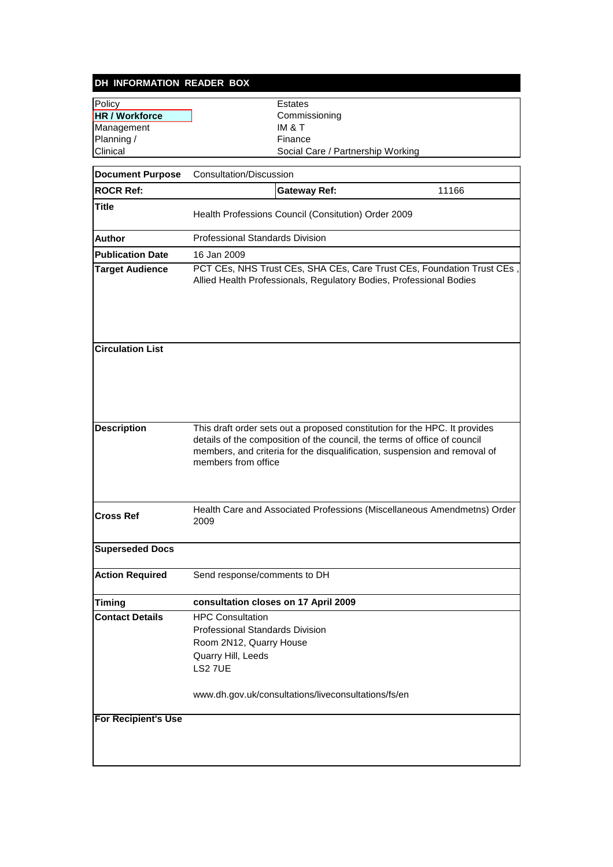## **DH INFORMATION READER BOX** Policy **Extracts**

| Policy                     | Estates                                                                                                                                                                                                                                                     |  |  |
|----------------------------|-------------------------------------------------------------------------------------------------------------------------------------------------------------------------------------------------------------------------------------------------------------|--|--|
| <b>HR / Workforce</b>      | Commissioning                                                                                                                                                                                                                                               |  |  |
| Management                 | IM & T                                                                                                                                                                                                                                                      |  |  |
| Planning /                 | Finance                                                                                                                                                                                                                                                     |  |  |
| Clinical                   | Social Care / Partnership Working                                                                                                                                                                                                                           |  |  |
| <b>Document Purpose</b>    | Consultation/Discussion                                                                                                                                                                                                                                     |  |  |
| <b>ROCR Ref:</b>           | <b>Gateway Ref:</b><br>11166                                                                                                                                                                                                                                |  |  |
| <b>Title</b>               |                                                                                                                                                                                                                                                             |  |  |
|                            | Health Professions Council (Consitution) Order 2009                                                                                                                                                                                                         |  |  |
| Author                     | <b>Professional Standards Division</b>                                                                                                                                                                                                                      |  |  |
| <b>Publication Date</b>    | 16 Jan 2009                                                                                                                                                                                                                                                 |  |  |
| <b>Target Audience</b>     | PCT CEs, NHS Trust CEs, SHA CEs, Care Trust CEs, Foundation Trust CEs<br>Allied Health Professionals, Regulatory Bodies, Professional Bodies                                                                                                                |  |  |
| <b>Circulation List</b>    |                                                                                                                                                                                                                                                             |  |  |
| <b>Description</b>         | This draft order sets out a proposed constitution for the HPC. It provides<br>details of the composition of the council, the terms of office of council<br>members, and criteria for the disqualification, suspension and removal of<br>members from office |  |  |
| <b>Cross Ref</b>           | Health Care and Associated Professions (Miscellaneous Amendmetns) Order<br>2009                                                                                                                                                                             |  |  |
| <b>Superseded Docs</b>     |                                                                                                                                                                                                                                                             |  |  |
| <b>Action Required</b>     | Send response/comments to DH                                                                                                                                                                                                                                |  |  |
| Timing                     | consultation closes on 17 April 2009                                                                                                                                                                                                                        |  |  |
| <b>Contact Details</b>     | <b>HPC Consultation</b><br>Professional Standards Division<br>Room 2N12, Quarry House<br>Quarry Hill, Leeds<br><b>LS2 7UE</b>                                                                                                                               |  |  |
|                            | www.dh.gov.uk/consultations/liveconsultations/fs/en                                                                                                                                                                                                         |  |  |
| <b>For Recipient's Use</b> |                                                                                                                                                                                                                                                             |  |  |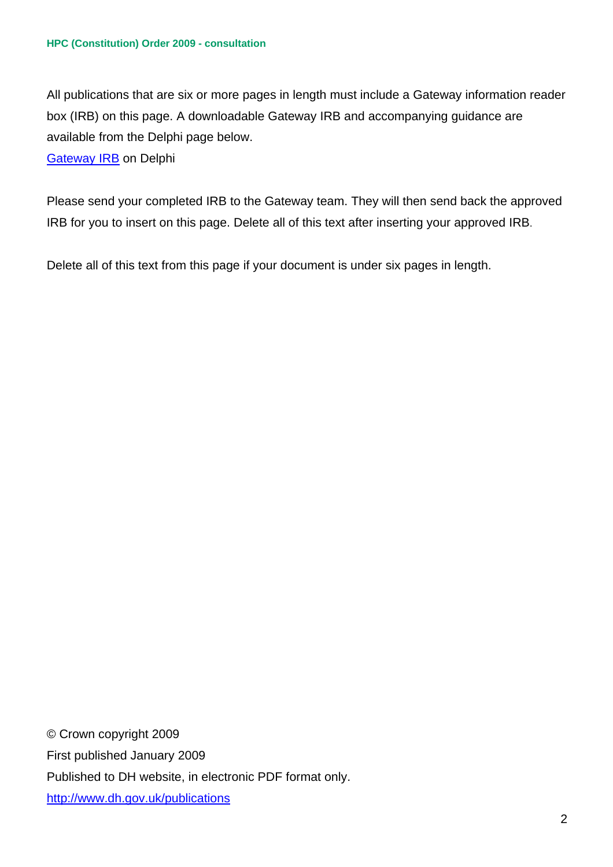All publications that are six or more pages in length must include a Gateway information reader box (IRB) on this page. A downloadable Gateway IRB and accompanying guidance are available from the Delphi page below.

## Gateway IRB on Delphi

Please send your completed IRB to the Gateway team. They will then send back the approved IRB for you to insert on this page. Delete all of this text after inserting your approved IRB.

Delete all of this text from this page if your document is under six pages in length.

© Crown copyright 2009 First published January 2009 Published to DH website, in electronic PDF format only. http://www.dh.gov.uk/publications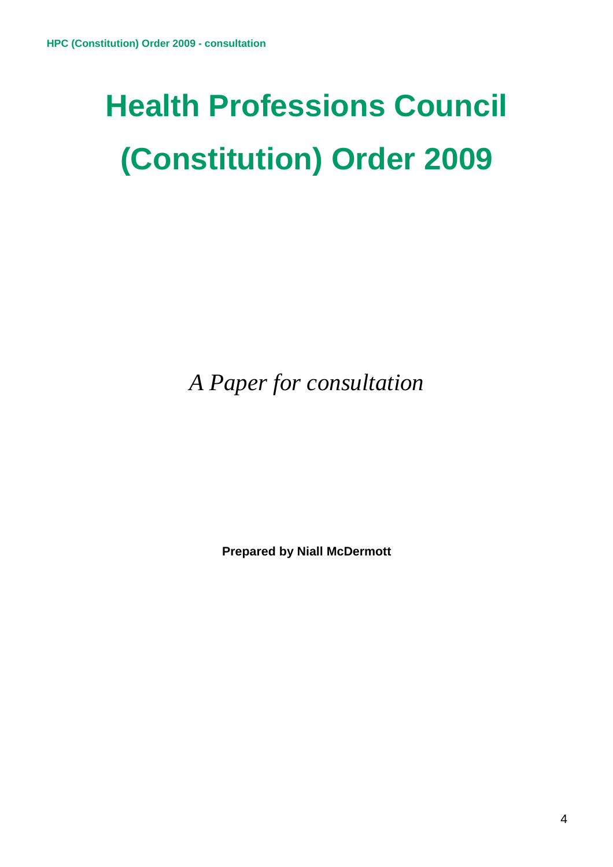# **Health Professions Council (Constitution) Order 2009**

*A Paper for consultation* 

**Prepared by Niall McDermott**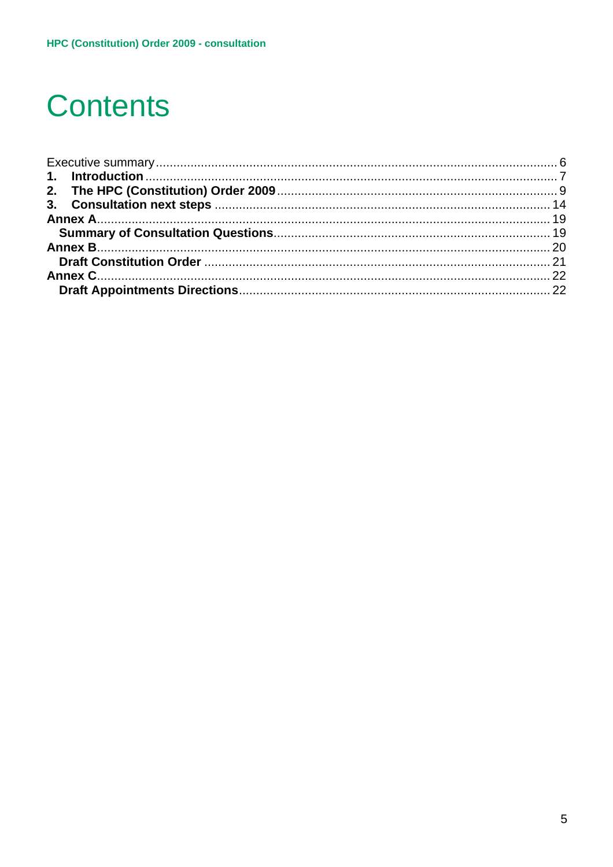# **Contents**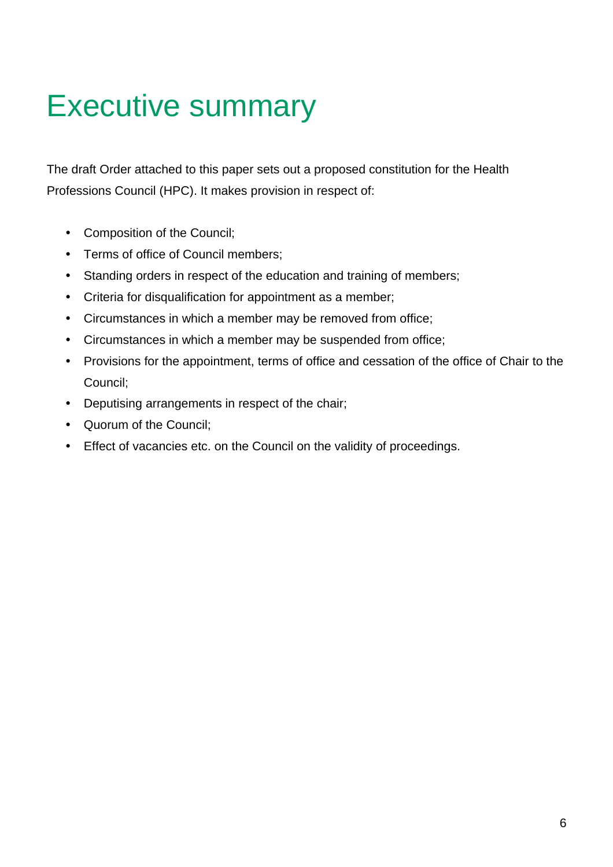# Executive summary

The draft Order attached to this paper sets out a proposed constitution for the Health Professions Council (HPC). It makes provision in respect of:

- Composition of the Council;
- Terms of office of Council members;
- Standing orders in respect of the education and training of members;
- Criteria for disqualification for appointment as a member;
- Circumstances in which a member may be removed from office;
- Circumstances in which a member may be suspended from office;
- Provisions for the appointment, terms of office and cessation of the office of Chair to the Council;
- Deputising arrangements in respect of the chair;
- Quorum of the Council;
- Effect of vacancies etc. on the Council on the validity of proceedings.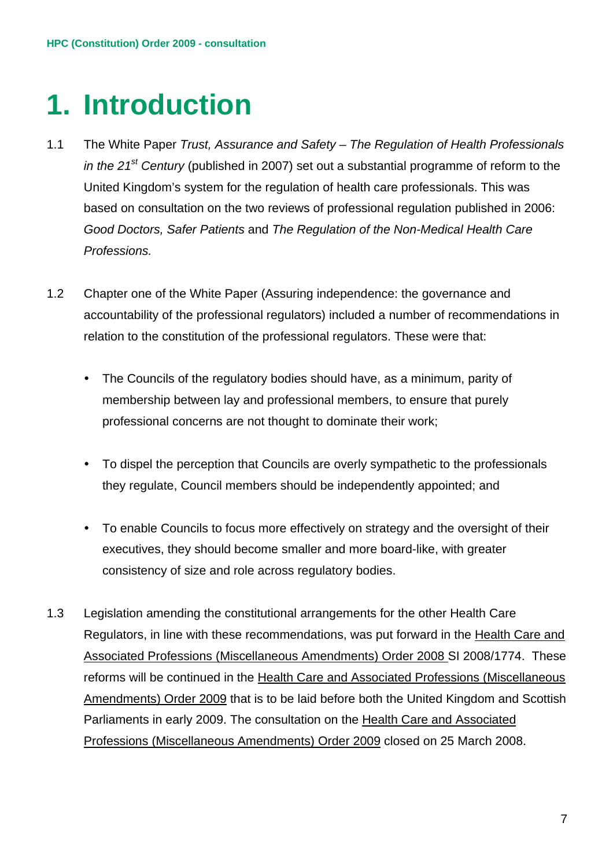## **1. Introduction**

- 1.1 The White Paper *Trust, Assurance and Safety The Regulation of Health Professionals in the 21st Century* (published in 2007) set out a substantial programme of reform to the United Kingdom's system for the regulation of health care professionals. This was based on consultation on the two reviews of professional regulation published in 2006: *Good Doctors, Safer Patients* and *The Regulation of the Non-Medical Health Care Professions.*
- 1.2 Chapter one of the White Paper (Assuring independence: the governance and accountability of the professional regulators) included a number of recommendations in relation to the constitution of the professional regulators. These were that:
	- The Councils of the regulatory bodies should have, as a minimum, parity of membership between lay and professional members, to ensure that purely professional concerns are not thought to dominate their work;
	- To dispel the perception that Councils are overly sympathetic to the professionals they regulate, Council members should be independently appointed; and
	- To enable Councils to focus more effectively on strategy and the oversight of their executives, they should become smaller and more board-like, with greater consistency of size and role across regulatory bodies.
- 1.3 Legislation amending the constitutional arrangements for the other Health Care Regulators, in line with these recommendations, was put forward in the Health Care and Associated Professions (Miscellaneous Amendments) Order 2008 SI 2008/1774. These reforms will be continued in the Health Care and Associated Professions (Miscellaneous Amendments) Order 2009 that is to be laid before both the United Kingdom and Scottish Parliaments in early 2009. The consultation on the Health Care and Associated Professions (Miscellaneous Amendments) Order 2009 closed on 25 March 2008.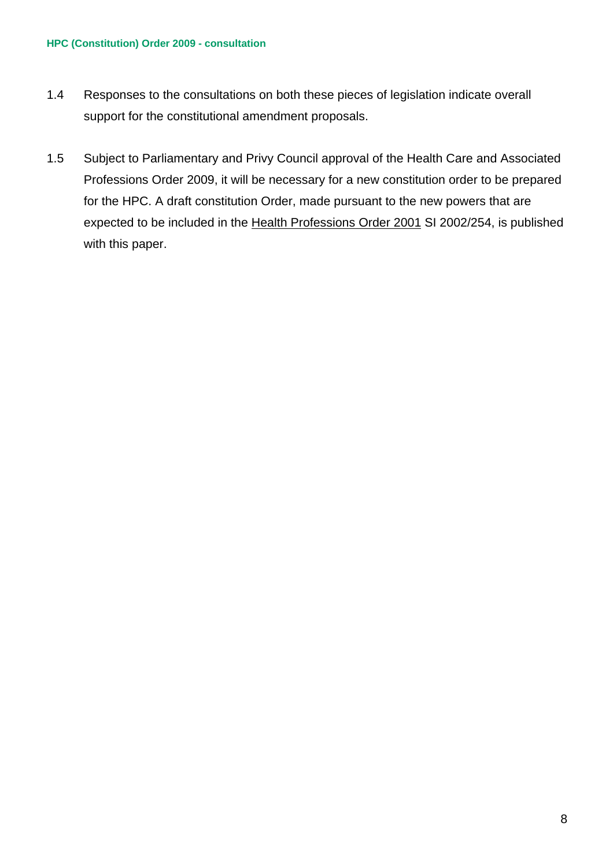#### **HPC (Constitution) Order 2009 - consultation**

- 1.4 Responses to the consultations on both these pieces of legislation indicate overall support for the constitutional amendment proposals.
- 1.5 Subject to Parliamentary and Privy Council approval of the Health Care and Associated Professions Order 2009, it will be necessary for a new constitution order to be prepared for the HPC. A draft constitution Order, made pursuant to the new powers that are expected to be included in the Health Professions Order 2001 SI 2002/254, is published with this paper.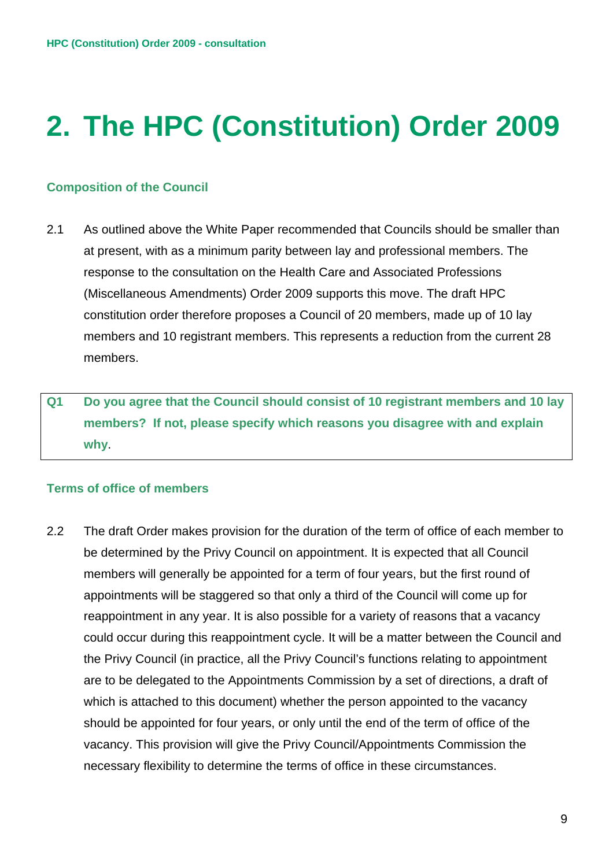# **2. The HPC (Constitution) Order 2009**

## **Composition of the Council**

- 2.1 As outlined above the White Paper recommended that Councils should be smaller than at present, with as a minimum parity between lay and professional members. The response to the consultation on the Health Care and Associated Professions (Miscellaneous Amendments) Order 2009 supports this move. The draft HPC constitution order therefore proposes a Council of 20 members, made up of 10 lay members and 10 registrant members. This represents a reduction from the current 28 members.
- **Q1 Do you agree that the Council should consist of 10 registrant members and 10 lay members? If not, please specify which reasons you disagree with and explain why**.

### **Terms of office of members**

2.2 The draft Order makes provision for the duration of the term of office of each member to be determined by the Privy Council on appointment. It is expected that all Council members will generally be appointed for a term of four years, but the first round of appointments will be staggered so that only a third of the Council will come up for reappointment in any year. It is also possible for a variety of reasons that a vacancy could occur during this reappointment cycle. It will be a matter between the Council and the Privy Council (in practice, all the Privy Council's functions relating to appointment are to be delegated to the Appointments Commission by a set of directions, a draft of which is attached to this document) whether the person appointed to the vacancy should be appointed for four years, or only until the end of the term of office of the vacancy. This provision will give the Privy Council/Appointments Commission the necessary flexibility to determine the terms of office in these circumstances.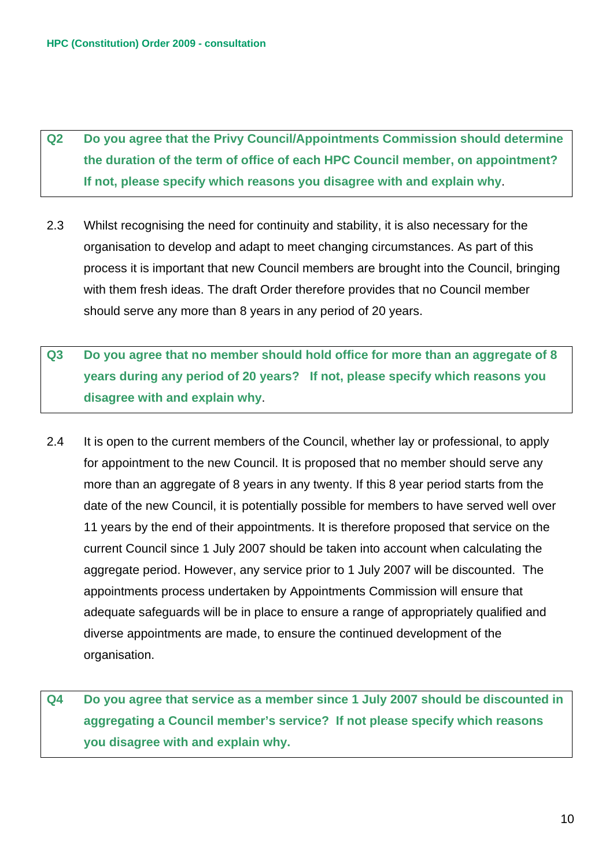**Q2 Do you agree that the Privy Council/Appointments Commission should determine the duration of the term of office of each HPC Council member, on appointment? If not, please specify which reasons you disagree with and explain why**.

- 2.3 Whilst recognising the need for continuity and stability, it is also necessary for the organisation to develop and adapt to meet changing circumstances. As part of this process it is important that new Council members are brought into the Council, bringing with them fresh ideas. The draft Order therefore provides that no Council member should serve any more than 8 years in any period of 20 years.
- **Q3 Do you agree that no member should hold office for more than an aggregate of 8 years during any period of 20 years? If not, please specify which reasons you disagree with and explain why**.
- 2.4 It is open to the current members of the Council, whether lay or professional, to apply for appointment to the new Council. It is proposed that no member should serve any more than an aggregate of 8 years in any twenty. If this 8 year period starts from the date of the new Council, it is potentially possible for members to have served well over 11 years by the end of their appointments. It is therefore proposed that service on the current Council since 1 July 2007 should be taken into account when calculating the aggregate period. However, any service prior to 1 July 2007 will be discounted. The appointments process undertaken by Appointments Commission will ensure that adequate safeguards will be in place to ensure a range of appropriately qualified and diverse appointments are made, to ensure the continued development of the organisation.

**Q4 Do you agree that service as a member since 1 July 2007 should be discounted in aggregating a Council member's service? If not please specify which reasons you disagree with and explain why.**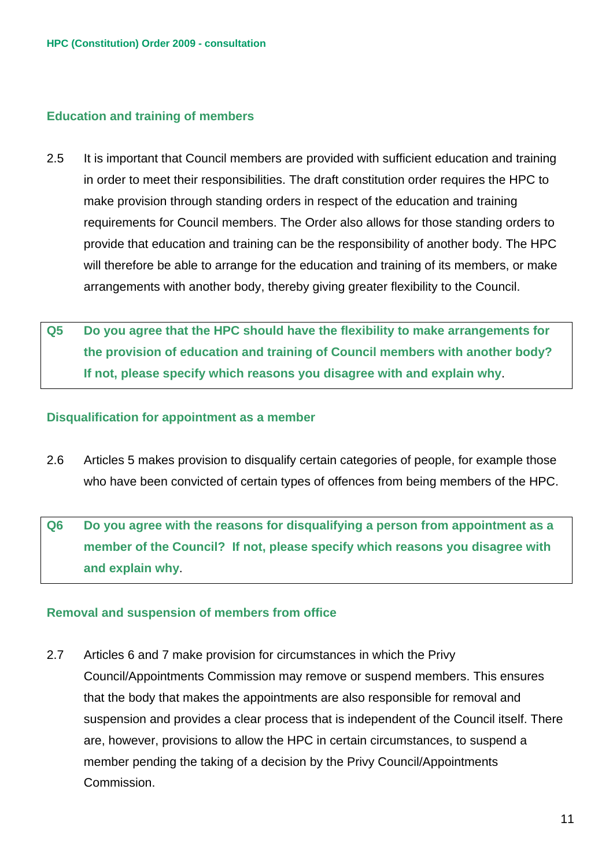## **Education and training of members**

- 2.5 It is important that Council members are provided with sufficient education and training in order to meet their responsibilities. The draft constitution order requires the HPC to make provision through standing orders in respect of the education and training requirements for Council members. The Order also allows for those standing orders to provide that education and training can be the responsibility of another body. The HPC will therefore be able to arrange for the education and training of its members, or make arrangements with another body, thereby giving greater flexibility to the Council.
- **Q5 Do you agree that the HPC should have the flexibility to make arrangements for the provision of education and training of Council members with another body? If not, please specify which reasons you disagree with and explain why**.

#### **Disqualification for appointment as a member**

2.6 Articles 5 makes provision to disqualify certain categories of people, for example those who have been convicted of certain types of offences from being members of the HPC.

**Q6 Do you agree with the reasons for disqualifying a person from appointment as a member of the Council? If not, please specify which reasons you disagree with and explain why**.

### **Removal and suspension of members from office**

2.7 Articles 6 and 7 make provision for circumstances in which the Privy Council/Appointments Commission may remove or suspend members. This ensures that the body that makes the appointments are also responsible for removal and suspension and provides a clear process that is independent of the Council itself. There are, however, provisions to allow the HPC in certain circumstances, to suspend a member pending the taking of a decision by the Privy Council/Appointments Commission.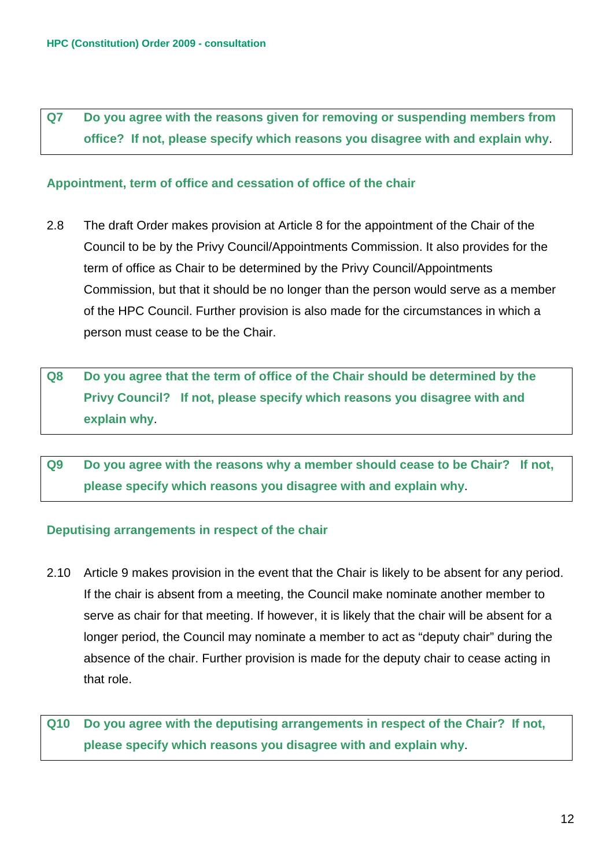## **Q7 Do you agree with the reasons given for removing or suspending members from office? If not, please specify which reasons you disagree with and explain why**.

### **Appointment, term of office and cessation of office of the chair**

- 2.8 The draft Order makes provision at Article 8 for the appointment of the Chair of the Council to be by the Privy Council/Appointments Commission. It also provides for the term of office as Chair to be determined by the Privy Council/Appointments Commission, but that it should be no longer than the person would serve as a member of the HPC Council. Further provision is also made for the circumstances in which a person must cease to be the Chair.
- **Q8 Do you agree that the term of office of the Chair should be determined by the Privy Council? If not, please specify which reasons you disagree with and explain why**.
- **Q9 Do you agree with the reasons why a member should cease to be Chair? If not, please specify which reasons you disagree with and explain why**.

#### **Deputising arrangements in respect of the chair**

2.10 Article 9 makes provision in the event that the Chair is likely to be absent for any period. If the chair is absent from a meeting, the Council make nominate another member to serve as chair for that meeting. If however, it is likely that the chair will be absent for a longer period, the Council may nominate a member to act as "deputy chair" during the absence of the chair. Further provision is made for the deputy chair to cease acting in that role.

**Q10 Do you agree with the deputising arrangements in respect of the Chair? If not, please specify which reasons you disagree with and explain why**.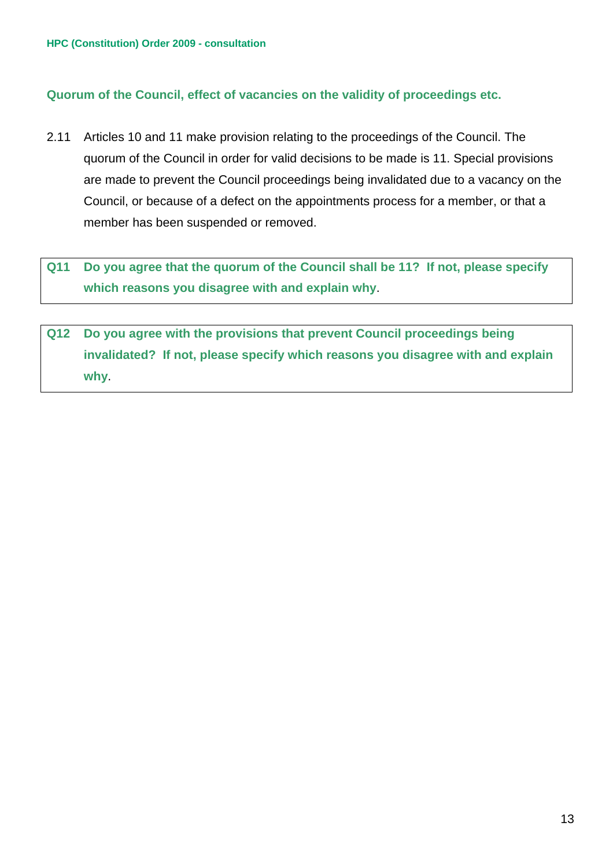## **Quorum of the Council, effect of vacancies on the validity of proceedings etc.**

2.11 Articles 10 and 11 make provision relating to the proceedings of the Council. The quorum of the Council in order for valid decisions to be made is 11. Special provisions are made to prevent the Council proceedings being invalidated due to a vacancy on the Council, or because of a defect on the appointments process for a member, or that a member has been suspended or removed.

**Q11 Do you agree that the quorum of the Council shall be 11? If not, please specify which reasons you disagree with and explain why**.

**Q12 Do you agree with the provisions that prevent Council proceedings being invalidated? If not, please specify which reasons you disagree with and explain why**.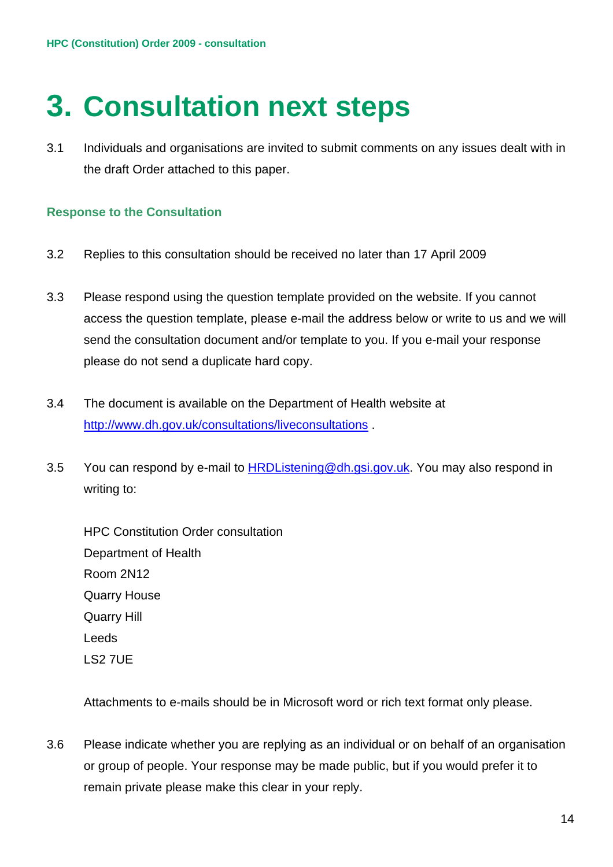## **3. Consultation next steps**

3.1 Individuals and organisations are invited to submit comments on any issues dealt with in the draft Order attached to this paper.

## **Response to the Consultation**

- 3.2 Replies to this consultation should be received no later than 17 April 2009
- 3.3 Please respond using the question template provided on the website. If you cannot access the question template, please e-mail the address below or write to us and we will send the consultation document and/or template to you. If you e-mail your response please do not send a duplicate hard copy.
- 3.4 The document is available on the Department of Health website at http://www.dh.gov.uk/consultations/liveconsultations .
- 3.5 You can respond by e-mail to HRDListening@dh.gsi.gov.uk. You may also respond in writing to:

HPC Constitution Order consultation Department of Health Room 2N12 Quarry House Quarry Hill Leeds LS2 7UE

Attachments to e-mails should be in Microsoft word or rich text format only please.

3.6 Please indicate whether you are replying as an individual or on behalf of an organisation or group of people. Your response may be made public, but if you would prefer it to remain private please make this clear in your reply.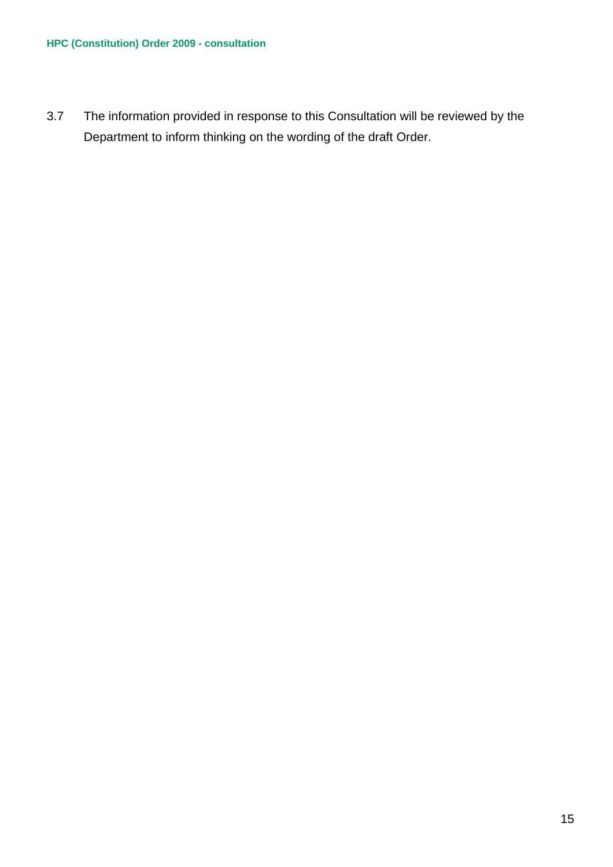3.7 The information provided in response to this Consultation will be reviewed by the Department to inform thinking on the wording of the draft Order.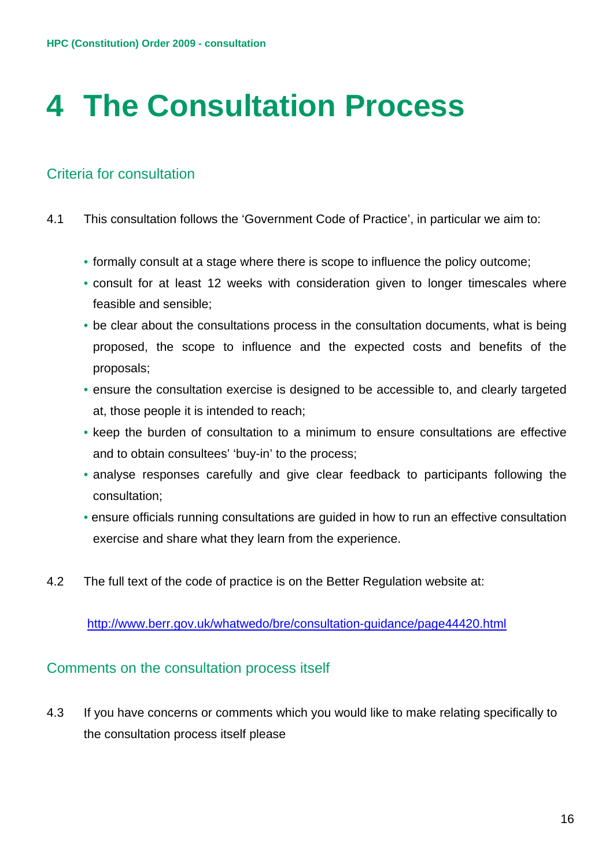# **4 The Consultation Process**

## Criteria for consultation

- 4.1 This consultation follows the 'Government Code of Practice', in particular we aim to:
	- formally consult at a stage where there is scope to influence the policy outcome;
	- consult for at least 12 weeks with consideration given to longer timescales where feasible and sensible;
	- be clear about the consultations process in the consultation documents, what is being proposed, the scope to influence and the expected costs and benefits of the proposals;
	- ensure the consultation exercise is designed to be accessible to, and clearly targeted at, those people it is intended to reach;
	- keep the burden of consultation to a minimum to ensure consultations are effective and to obtain consultees' 'buy-in' to the process;
	- analyse responses carefully and give clear feedback to participants following the consultation;
	- ensure officials running consultations are guided in how to run an effective consultation exercise and share what they learn from the experience.
- 4.2 The full text of the code of practice is on the Better Regulation website at:

http://www.berr.gov.uk/whatwedo/bre/consultation-guidance/page44420.html

## Comments on the consultation process itself

4.3 If you have concerns or comments which you would like to make relating specifically to the consultation process itself please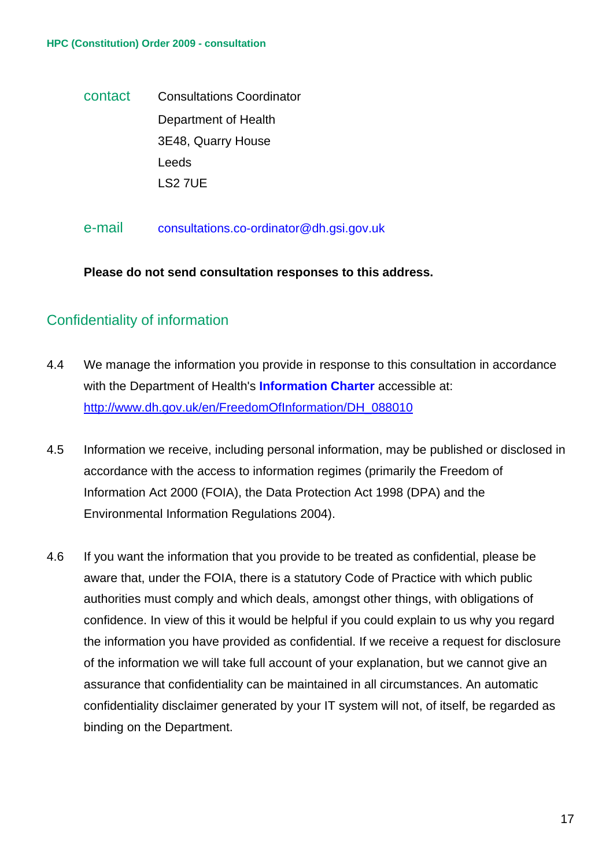#### **HPC (Constitution) Order 2009 - consultation**

 contact Consultations Coordinator Department of Health 3E48, Quarry House Leeds LS2 7UE

e-mail consultations.co-ordinator@dh.gsi.gov.uk

**Please do not send consultation responses to this address.** 

## Confidentiality of information

- 4.4 We manage the information you provide in response to this consultation in accordance with the Department of Health's **Information Charter** accessible at: http://www.dh.gov.uk/en/FreedomOfInformation/DH\_088010
- 4.5 Information we receive, including personal information, may be published or disclosed in accordance with the access to information regimes (primarily the Freedom of Information Act 2000 (FOIA), the Data Protection Act 1998 (DPA) and the Environmental Information Regulations 2004).
- 4.6 If you want the information that you provide to be treated as confidential, please be aware that, under the FOIA, there is a statutory Code of Practice with which public authorities must comply and which deals, amongst other things, with obligations of confidence. In view of this it would be helpful if you could explain to us why you regard the information you have provided as confidential. If we receive a request for disclosure of the information we will take full account of your explanation, but we cannot give an assurance that confidentiality can be maintained in all circumstances. An automatic confidentiality disclaimer generated by your IT system will not, of itself, be regarded as binding on the Department.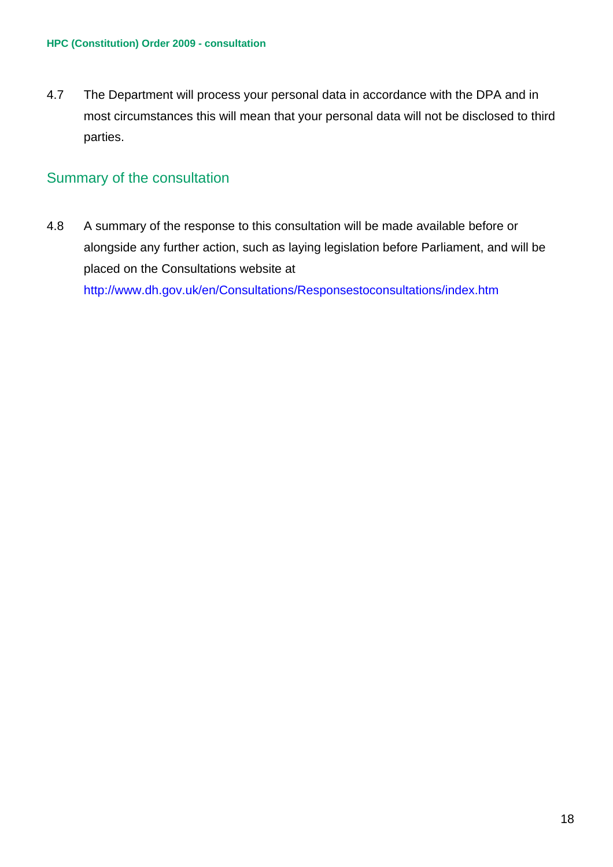4.7 The Department will process your personal data in accordance with the DPA and in most circumstances this will mean that your personal data will not be disclosed to third parties.

## Summary of the consultation

4.8 A summary of the response to this consultation will be made available before or alongside any further action, such as laying legislation before Parliament, and will be placed on the Consultations website at http://www.dh.gov.uk/en/Consultations/Responsestoconsultations/index.htm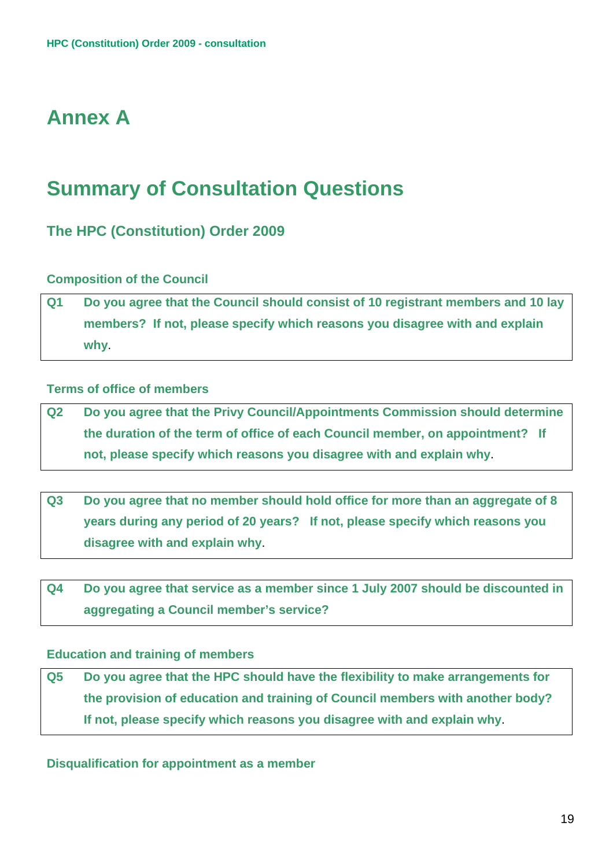## **Annex A**

## **Summary of Consultation Questions**

## **The HPC (Constitution) Order 2009**

## **Composition of the Council**

**Q1 Do you agree that the Council should consist of 10 registrant members and 10 lay members? If not, please specify which reasons you disagree with and explain why**.

## **Terms of office of members**

**Q2 Do you agree that the Privy Council/Appointments Commission should determine the duration of the term of office of each Council member, on appointment? If not, please specify which reasons you disagree with and explain why**.

**Q3 Do you agree that no member should hold office for more than an aggregate of 8 years during any period of 20 years? If not, please specify which reasons you disagree with and explain why**.

**Q4 Do you agree that service as a member since 1 July 2007 should be discounted in aggregating a Council member's service?**

### **Education and training of members**

**Q5 Do you agree that the HPC should have the flexibility to make arrangements for the provision of education and training of Council members with another body? If not, please specify which reasons you disagree with and explain why**.

**Disqualification for appointment as a member**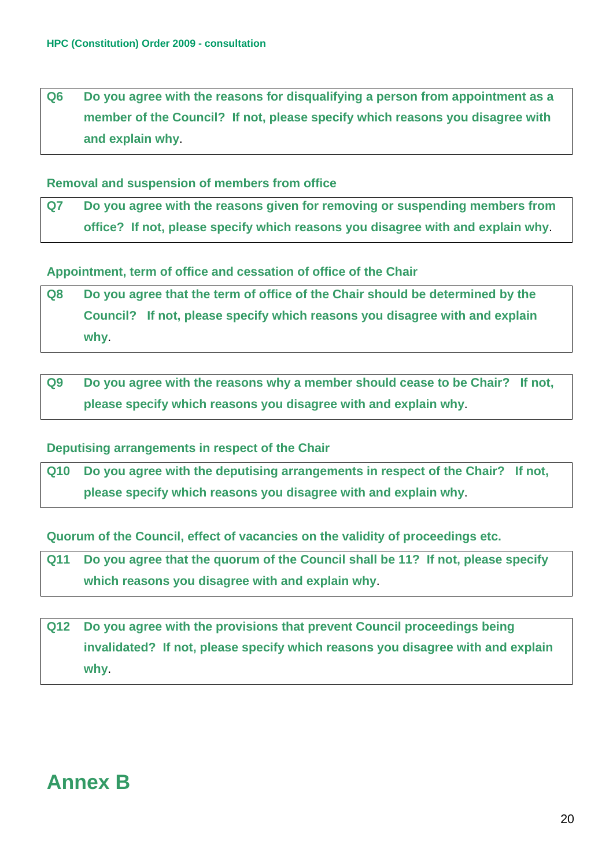**Q6 Do you agree with the reasons for disqualifying a person from appointment as a member of the Council? If not, please specify which reasons you disagree with and explain why**.

### **Removal and suspension of members from office**

**Q7 Do you agree with the reasons given for removing or suspending members from office? If not, please specify which reasons you disagree with and explain why**.

**Appointment, term of office and cessation of office of the Chair** 

- **Q8 Do you agree that the term of office of the Chair should be determined by the Council? If not, please specify which reasons you disagree with and explain why**.
- **Q9 Do you agree with the reasons why a member should cease to be Chair? If not, please specify which reasons you disagree with and explain why**.

#### **Deputising arrangements in respect of the Chair**

**Q10 Do you agree with the deputising arrangements in respect of the Chair? If not, please specify which reasons you disagree with and explain why**.

**Quorum of the Council, effect of vacancies on the validity of proceedings etc.** 

- **Q11 Do you agree that the quorum of the Council shall be 11? If not, please specify which reasons you disagree with and explain why**.
- **Q12 Do you agree with the provisions that prevent Council proceedings being invalidated? If not, please specify which reasons you disagree with and explain why**.

## **Annex B**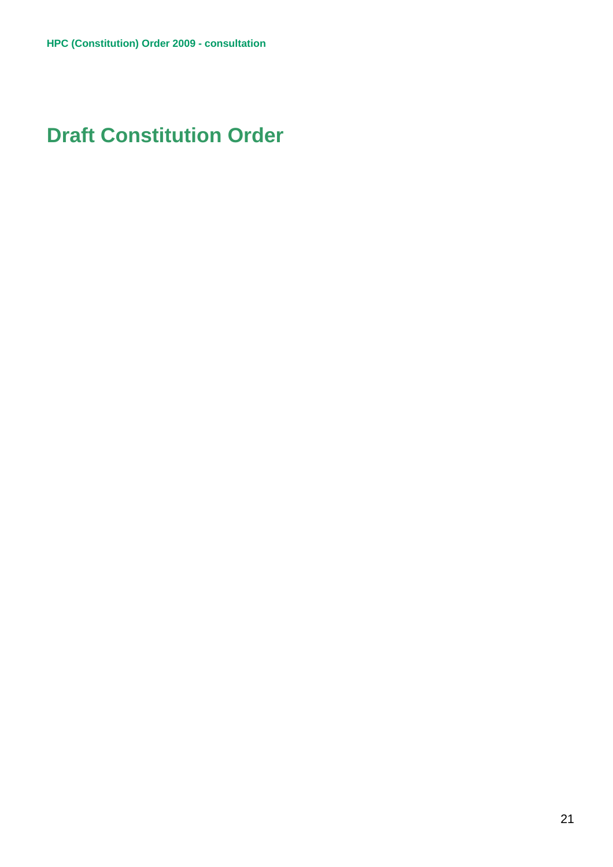## **Draft Constitution Order**